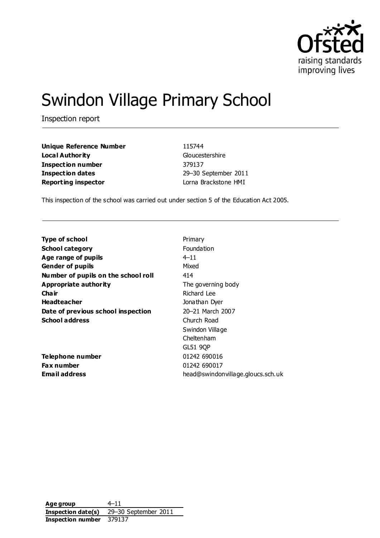

# Swindon Village Primary School

Inspection report

**Unique Reference Number** 115744 **Local Authority** Gloucestershire **Inspection number** 379137 **Inspection dates** 29–30 September 2011 **Reporting inspector Community** Lorna Brackstone HMI

This inspection of the school was carried out under section 5 of the Education Act 2005.

| <b>School category</b><br>Foundation<br>Age range of pupils<br>$4 - 11$<br>Mixed<br><b>Gender of pupils</b><br>Number of pupils on the school roll<br>414<br><b>Appropriate authority</b><br>The governing body<br>Cha ir<br>Richard Lee<br><b>Headteacher</b><br>Jonathan Dyer<br>20-21 March 2007<br>Date of previous school inspection<br><b>School address</b><br>Church Road<br>Swindon Village<br>Cheltenham |  |
|--------------------------------------------------------------------------------------------------------------------------------------------------------------------------------------------------------------------------------------------------------------------------------------------------------------------------------------------------------------------------------------------------------------------|--|
|                                                                                                                                                                                                                                                                                                                                                                                                                    |  |
|                                                                                                                                                                                                                                                                                                                                                                                                                    |  |
|                                                                                                                                                                                                                                                                                                                                                                                                                    |  |
|                                                                                                                                                                                                                                                                                                                                                                                                                    |  |
|                                                                                                                                                                                                                                                                                                                                                                                                                    |  |
|                                                                                                                                                                                                                                                                                                                                                                                                                    |  |
|                                                                                                                                                                                                                                                                                                                                                                                                                    |  |
|                                                                                                                                                                                                                                                                                                                                                                                                                    |  |
|                                                                                                                                                                                                                                                                                                                                                                                                                    |  |
|                                                                                                                                                                                                                                                                                                                                                                                                                    |  |
|                                                                                                                                                                                                                                                                                                                                                                                                                    |  |
| GL51 9QP                                                                                                                                                                                                                                                                                                                                                                                                           |  |
| 01242 690016<br>Telephone number                                                                                                                                                                                                                                                                                                                                                                                   |  |
| 01242 690017<br>Fax number                                                                                                                                                                                                                                                                                                                                                                                         |  |
| Email address<br>head@swindonvillage.gloucs.sch.uk                                                                                                                                                                                                                                                                                                                                                                 |  |

**Age group** 4–11 **Inspection date(s)** 29–30 September 2011 **Inspection number** 379137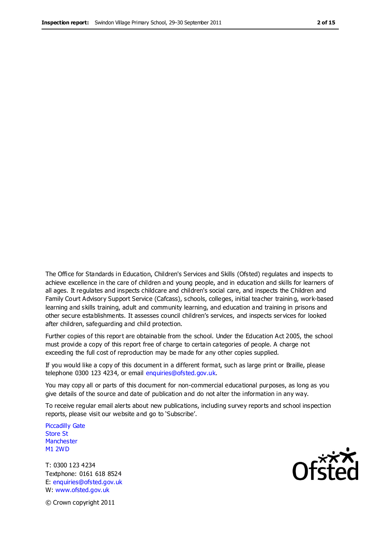The Office for Standards in Education, Children's Services and Skills (Ofsted) regulates and inspects to achieve excellence in the care of children and young people, and in education and skills for learners of all ages. It regulates and inspects childcare and children's social care, and inspects the Children and Family Court Advisory Support Service (Cafcass), schools, colleges, initial teacher trainin g, work-based learning and skills training, adult and community learning, and education and training in prisons and other secure establishments. It assesses council children's services, and inspects services for looked after children, safeguarding and child protection.

Further copies of this report are obtainable from the school. Under the Education Act 2005, the school must provide a copy of this report free of charge to certain categories of people. A charge not exceeding the full cost of reproduction may be made for any other copies supplied.

If you would like a copy of this document in a different format, such as large print or Braille, please telephone 0300 123 4234, or email enquiries@ofsted.gov.uk.

You may copy all or parts of this document for non-commercial educational purposes, as long as you give details of the source and date of publication and do not alter the information in any way.

To receive regular email alerts about new publications, including survey reports and school inspection reports, please visit our website and go to 'Subscribe'.

Piccadilly Gate Store St **Manchester** M1 2WD

T: 0300 123 4234 Textphone: 0161 618 8524 E: enquiries@ofsted.gov.uk W: www.ofsted.gov.uk

Ofsted

© Crown copyright 2011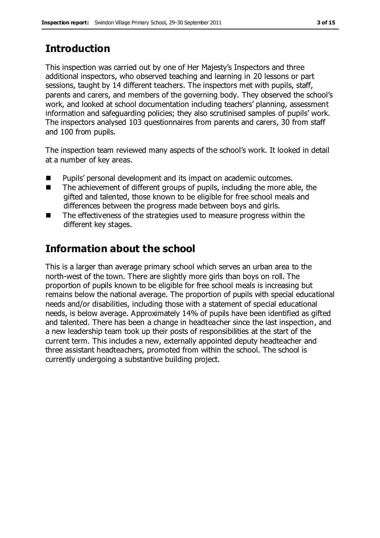# **Introduction**

This inspection was carried out by one of Her Majesty's Inspectors and three additional inspectors, who observed teaching and learning in 20 lessons or part sessions, taught by 14 different teachers. The inspectors met with pupils, staff, parents and carers, and members of the governing body. They observed the school's work, and looked at school documentation including teachers' planning, assessment information and safeguarding policies; they also scrutinised samples of pupils' work. The inspectors analysed 103 questionnaires from parents and carers, 30 from staff and 100 from pupils.

The inspection team reviewed many aspects of the school's work. It looked in detail at a number of key areas.

- Pupils' personal development and its impact on academic outcomes.
- The achievement of different groups of pupils, including the more able, the gifted and talented, those known to be eligible for free school meals and differences between the progress made between boys and girls.
- The effectiveness of the strategies used to measure progress within the different key stages.

# **Information about the school**

This is a larger than average primary school which serves an urban area to the north-west of the town. There are slightly more girls than boys on roll. The proportion of pupils known to be eligible for free school meals is increasing but remains below the national average. The proportion of pupils with special educational needs and/or disabilities, including those with a statement of special educational needs, is below average. Approximately 14% of pupils have been identified as gifted and talented. There has been a change in headteacher since the last inspection, and a new leadership team took up their posts of responsibilities at the start of the current term. This includes a new, externally appointed deputy headteacher and three assistant headteachers, promoted from within the school. The school is currently undergoing a substantive building project.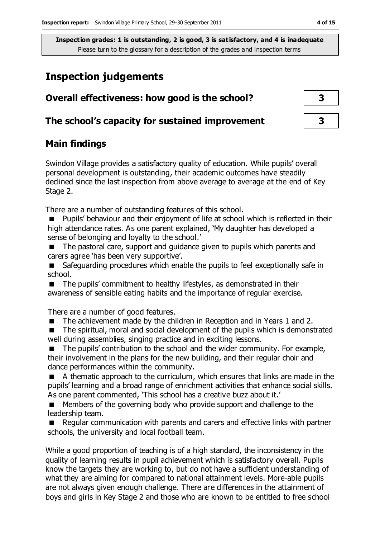## **Inspection judgements**

| Overall effectiveness: how good is the school?  |  |
|-------------------------------------------------|--|
| The school's capacity for sustained improvement |  |

## **Main findings**

Swindon Village provides a satisfactory quality of education. While pupils' overall personal development is outstanding, their academic outcomes have steadily declined since the last inspection from above average to average at the end of Key Stage 2.

There are a number of outstanding features of this school.

 Pupils' behaviour and their enjoyment of life at school which is reflected in their high attendance rates. As one parent explained, 'My daughter has developed a sense of belonging and loyalty to the school.'

■ The pastoral care, support and guidance given to pupils which parents and carers agree 'has been very supportive'.

■ Safeguarding procedures which enable the pupils to feel exceptionally safe in school.

■ The pupils' commitment to healthy lifestyles, as demonstrated in their awareness of sensible eating habits and the importance of regular exercise.

There are a number of good features.

■ The achievement made by the children in Reception and in Years 1 and 2.

 The spiritual, moral and social development of the pupils which is demonstrated well during assemblies, singing practice and in exciting lessons.

 The pupils' contribution to the school and the wider community. For example, their involvement in the plans for the new building, and their regular choir and dance performances within the community.

 A thematic approach to the curriculum, which ensures that links are made in the pupils' learning and a broad range of enrichment activities that enhance social skills. As one parent commented, 'This school has a creative buzz about it.'

 Members of the governing body who provide support and challenge to the leadership team.

 Regular communication with parents and carers and effective links with partner schools, the university and local football team.

While a good proportion of teaching is of a high standard, the inconsistency in the quality of learning results in pupil achievement which is satisfactory overall. Pupils know the targets they are working to, but do not have a sufficient understanding of what they are aiming for compared to national attainment levels. More-able pupils are not always given enough challenge. There are differences in the attainment of boys and girls in Key Stage 2 and those who are known to be entitled to free school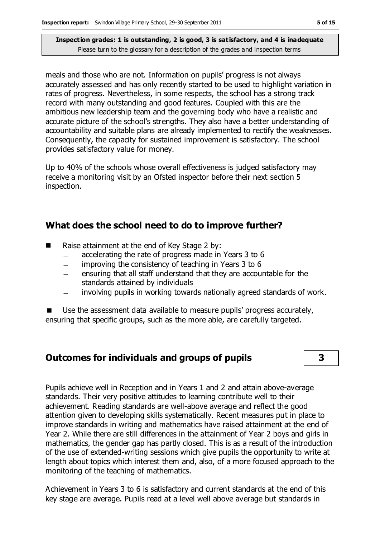meals and those who are not. Information on pupils' progress is not always accurately assessed and has only recently started to be used to highlight variation in rates of progress. Nevertheless, in some respects, the school has a strong track record with many outstanding and good features. Coupled with this are the ambitious new leadership team and the governing body who have a realistic and accurate picture of the school's strengths. They also have a better understanding of accountability and suitable plans are already implemented to rectify the weaknesses. Consequently, the capacity for sustained improvement is satisfactory. The school provides satisfactory value for money.

Up to 40% of the schools whose overall effectiveness is judged satisfactory may receive a monitoring visit by an Ofsted inspector before their next section 5 inspection.

#### **What does the school need to do to improve further?**

- Raise attainment at the end of Key Stage 2 by:
	- accelerating the rate of progress made in Years 3 to 6  $\equiv$
	- improving the consistency of teaching in Years 3 to 6
	- ensuring that all staff understand that they are accountable for the  $\equiv$ standards attained by individuals
	- involving pupils in working towards nationally agreed standards of work.

 Use the assessment data available to measure pupils' progress accurately, ensuring that specific groups, such as the more able, are carefully targeted.

### **Outcomes for individuals and groups of pupils 3**

Pupils achieve well in Reception and in Years 1 and 2 and attain above-average standards. Their very positive attitudes to learning contribute well to their achievement. Reading standards are well-above average and reflect the good attention given to developing skills systematically. Recent measures put in place to improve standards in writing and mathematics have raised attainment at the end of Year 2. While there are still differences in the attainment of Year 2 boys and girls in mathematics, the gender gap has partly closed. This is as a result of the introduction of the use of extended-writing sessions which give pupils the opportunity to write at length about topics which interest them and, also, of a more focused approach to the monitoring of the teaching of mathematics.

Achievement in Years 3 to 6 is satisfactory and current standards at the end of this key stage are average. Pupils read at a level well above average but standards in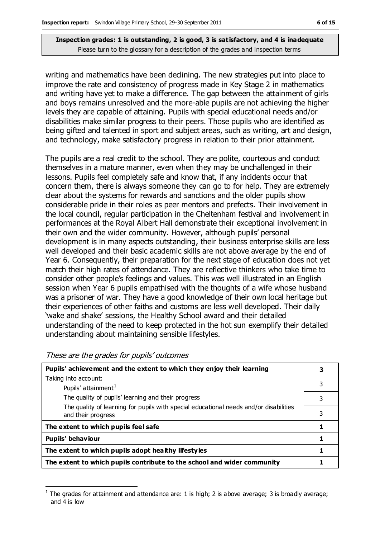writing and mathematics have been declining. The new strategies put into place to improve the rate and consistency of progress made in Key Stage 2 in mathematics and writing have yet to make a difference. The gap between the attainment of girls and boys remains unresolved and the more-able pupils are not achieving the higher levels they are capable of attaining. Pupils with special educational needs and/or disabilities make similar progress to their peers. Those pupils who are identified as being gifted and talented in sport and subject areas, such as writing, art and design, and technology, make satisfactory progress in relation to their prior attainment.

The pupils are a real credit to the school. They are polite, courteous and conduct themselves in a mature manner, even when they may be unchallenged in their lessons. Pupils feel completely safe and know that, if any incidents occur that concern them, there is always someone they can go to for help. They are extremely clear about the systems for rewards and sanctions and the older pupils show considerable pride in their roles as peer mentors and prefects. Their involvement in the local council, regular participation in the Cheltenham festival and involvement in performances at the Royal Albert Hall demonstrate their exceptional involvement in their own and the wider community. However, although pupils' personal development is in many aspects outstanding, their business enterprise skills are less well developed and their basic academic skills are not above average by the end of Year 6. Consequently, their preparation for the next stage of education does not yet match their high rates of attendance. They are reflective thinkers who take time to consider other people's feelings and values. This was well illustrated in an English session when Year 6 pupils empathised with the thoughts of a wife whose husband was a prisoner of war. They have a good knowledge of their own local heritage but their experiences of other faiths and customs are less well developed. Their daily 'wake and shake' sessions, the Healthy School award and their detailed understanding of the need to keep protected in the hot sun exemplify their detailed understanding about maintaining sensible lifestyles.

| Pupils' achievement and the extent to which they enjoy their learning                                       |   |  |
|-------------------------------------------------------------------------------------------------------------|---|--|
| Taking into account:                                                                                        |   |  |
| Pupils' attainment <sup>1</sup>                                                                             | 3 |  |
| The quality of pupils' learning and their progress                                                          | 3 |  |
| The quality of learning for pupils with special educational needs and/or disabilities<br>and their progress | 3 |  |
| The extent to which pupils feel safe                                                                        |   |  |
| Pupils' behaviour                                                                                           |   |  |
| The extent to which pupils adopt healthy lifestyles                                                         |   |  |
| The extent to which pupils contribute to the school and wider community                                     |   |  |

These are the grades for pupils' outcomes

 $\overline{a}$ 

<sup>1</sup> The grades for attainment and attendance are: 1 is high; 2 is above average; 3 is broadly average; and 4 is low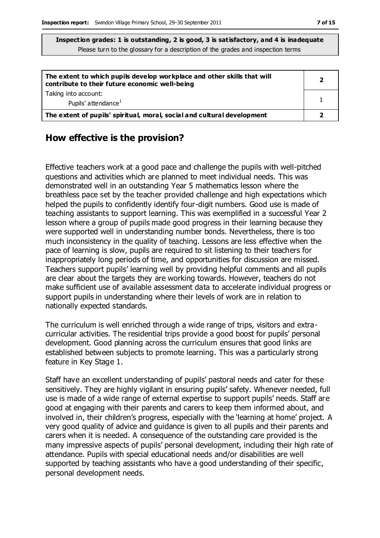| The extent to which pupils develop workplace and other skills that will<br>contribute to their future economic well-being |  |
|---------------------------------------------------------------------------------------------------------------------------|--|
| Taking into account:<br>Pupils' attendance <sup>1</sup>                                                                   |  |
| The extent of pupils' spiritual, moral, social and cultural development                                                   |  |

### **How effective is the provision?**

Effective teachers work at a good pace and challenge the pupils with well-pitched questions and activities which are planned to meet individual needs. This was demonstrated well in an outstanding Year 5 mathematics lesson where the breathless pace set by the teacher provided challenge and high expectations which helped the pupils to confidently identify four-digit numbers. Good use is made of teaching assistants to support learning. This was exemplified in a successful Year 2 lesson where a group of pupils made good progress in their learning because they were supported well in understanding number bonds. Nevertheless, there is too much inconsistency in the quality of teaching. Lessons are less effective when the pace of learning is slow, pupils are required to sit listening to their teachers for inappropriately long periods of time, and opportunities for discussion are missed. Teachers support pupils' learning well by providing helpful comments and all pupils are clear about the targets they are working towards. However, teachers do not make sufficient use of available assessment data to accelerate individual progress or support pupils in understanding where their levels of work are in relation to nationally expected standards.

The curriculum is well enriched through a wide range of trips, visitors and extracurricular activities. The residential trips provide a good boost for pupils' personal development. Good planning across the curriculum ensures that good links are established between subjects to promote learning. This was a particularly strong feature in Key Stage 1.

Staff have an excellent understanding of pupils' pastoral needs and cater for these sensitively. They are highly vigilant in ensuring pupils' safety. Whenever needed, full use is made of a wide range of external expertise to support pupils' needs. Staff are good at engaging with their parents and carers to keep them informed about, and involved in, their children's progress, especially with the 'learning at home' project. A very good quality of advice and guidance is given to all pupils and their parents and carers when it is needed. A consequence of the outstanding care provided is the many impressive aspects of pupils' personal development, including their high rate of attendance. Pupils with special educational needs and/or disabilities are well supported by teaching assistants who have a good understanding of their specific, personal development needs.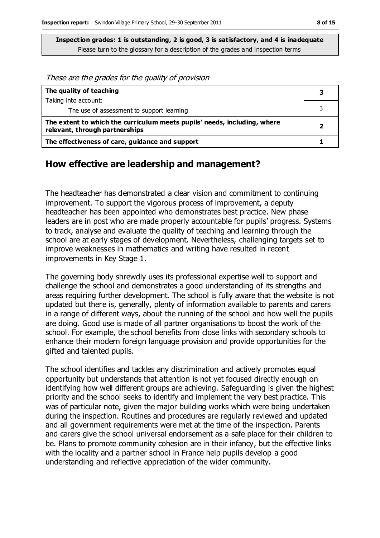These are the grades for the quality of provision

| The quality of teaching                                                                                    |  |  |
|------------------------------------------------------------------------------------------------------------|--|--|
| Taking into account:                                                                                       |  |  |
| The use of assessment to support learning                                                                  |  |  |
| The extent to which the curriculum meets pupils' needs, including, where<br>relevant, through partnerships |  |  |
| The effectiveness of care, guidance and support                                                            |  |  |

### **How effective are leadership and management?**

The headteacher has demonstrated a clear vision and commitment to continuing improvement. To support the vigorous process of improvement, a deputy headteacher has been appointed who demonstrates best practice. New phase leaders are in post who are made properly accountable for pupils' progress. Systems to track, analyse and evaluate the quality of teaching and learning through the school are at early stages of development. Nevertheless, challenging targets set to improve weaknesses in mathematics and writing have resulted in recent improvements in Key Stage 1.

The governing body shrewdly uses its professional expertise well to support and challenge the school and demonstrates a good understanding of its strengths and areas requiring further development. The school is fully aware that the website is not updated but there is, generally, plenty of information available to parents and carers in a range of different ways, about the running of the school and how well the pupils are doing. Good use is made of all partner organisations to boost the work of the school. For example, the school benefits from close links with secondary schools to enhance their modern foreign language provision and provide opportunities for the gifted and talented pupils.

The school identifies and tackles any discrimination and actively promotes equal opportunity but understands that attention is not yet focused directly enough on identifying how well different groups are achieving. Safeguarding is given the highest priority and the school seeks to identify and implement the very best practice. This was of particular note, given the major building works which were being undertaken during the inspection. Routines and procedures are regularly reviewed and updated and all government requirements were met at the time of the inspection. Parents and carers give the school universal endorsement as a safe place for their children to be. Plans to promote community cohesion are in their infancy, but the effective links with the locality and a partner school in France help pupils develop a good understanding and reflective appreciation of the wider community.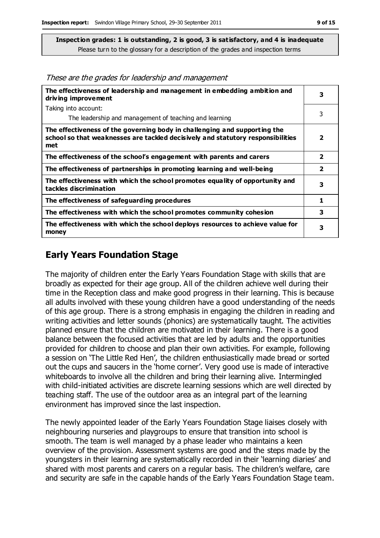These are the grades for leadership and management

| The effectiveness of leadership and management in embedding ambition and<br>driving improvement                                                                     |                         |  |
|---------------------------------------------------------------------------------------------------------------------------------------------------------------------|-------------------------|--|
| Taking into account:                                                                                                                                                |                         |  |
| The leadership and management of teaching and learning                                                                                                              | 3                       |  |
| The effectiveness of the governing body in challenging and supporting the<br>school so that weaknesses are tackled decisively and statutory responsibilities<br>met | 2                       |  |
| The effectiveness of the school's engagement with parents and carers                                                                                                | $\overline{2}$          |  |
| The effectiveness of partnerships in promoting learning and well-being                                                                                              | $\overline{\mathbf{2}}$ |  |
| The effectiveness with which the school promotes equality of opportunity and<br>tackles discrimination                                                              | 3                       |  |
| The effectiveness of safeguarding procedures                                                                                                                        | 1                       |  |
| The effectiveness with which the school promotes community cohesion                                                                                                 | 3                       |  |
| The effectiveness with which the school deploys resources to achieve value for<br>money                                                                             | 3                       |  |

## **Early Years Foundation Stage**

The majority of children enter the Early Years Foundation Stage with skills that are broadly as expected for their age group. All of the children achieve well during their time in the Reception class and make good progress in their learning. This is because all adults involved with these young children have a good understanding of the needs of this age group. There is a strong emphasis in engaging the children in reading and writing activities and letter sounds (phonics) are systematically taught. The activities planned ensure that the children are motivated in their learning. There is a good balance between the focused activities that are led by adults and the opportunities provided for children to choose and plan their own activities. For example, following a session on 'The Little Red Hen', the children enthusiastically made bread or sorted out the cups and saucers in the 'home corner'. Very good use is made of interactive whiteboards to involve all the children and bring their learning alive. Intermingled with child-initiated activities are discrete learning sessions which are well directed by teaching staff. The use of the outdoor area as an integral part of the learning environment has improved since the last inspection.

The newly appointed leader of the Early Years Foundation Stage liaises closely with neighbouring nurseries and playgroups to ensure that transition into school is smooth. The team is well managed by a phase leader who maintains a keen overview of the provision. Assessment systems are good and the steps made by the youngsters in their learning are systematically recorded in their 'learning diaries' and shared with most parents and carers on a regular basis. The children's welfare, care and security are safe in the capable hands of the Early Years Foundation Stage team.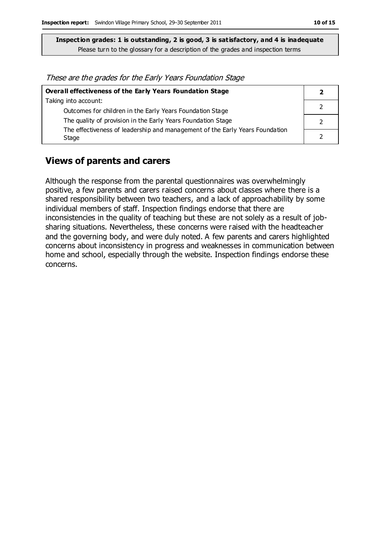These are the grades for the Early Years Foundation Stage

| Overall effectiveness of the Early Years Foundation Stage                    |  |  |
|------------------------------------------------------------------------------|--|--|
| Taking into account:                                                         |  |  |
| Outcomes for children in the Early Years Foundation Stage                    |  |  |
| The quality of provision in the Early Years Foundation Stage                 |  |  |
| The effectiveness of leadership and management of the Early Years Foundation |  |  |
| Stage                                                                        |  |  |

#### **Views of parents and carers**

Although the response from the parental questionnaires was overwhelmingly positive, a few parents and carers raised concerns about classes where there is a shared responsibility between two teachers, and a lack of approachability by some individual members of staff. Inspection findings endorse that there are inconsistencies in the quality of teaching but these are not solely as a result of jobsharing situations. Nevertheless, these concerns were raised with the headteacher and the governing body, and were duly noted. A few parents and carers highlighted concerns about inconsistency in progress and weaknesses in communication between home and school, especially through the website. Inspection findings endorse these concerns.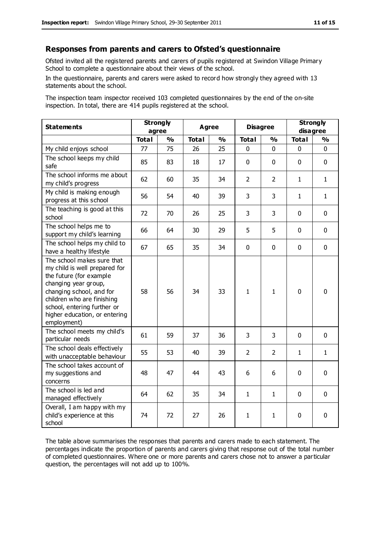#### **Responses from parents and carers to Ofsted's questionnaire**

Ofsted invited all the registered parents and carers of pupils registered at Swindon Village Primary School to complete a questionnaire about their views of the school.

In the questionnaire, parents and carers were asked to record how strongly they agreed with 13 statements about the school.

The inspection team inspector received 103 completed questionnaires by the end of the on-site inspection. In total, there are 414 pupils registered at the school.

| <b>Statements</b>                                                                                                                                                                                                                                       | <b>Strongly</b><br>agree |               | <b>Agree</b> |               |                | <b>Disagree</b> |              | <b>Strongly</b><br>disagree |  |
|---------------------------------------------------------------------------------------------------------------------------------------------------------------------------------------------------------------------------------------------------------|--------------------------|---------------|--------------|---------------|----------------|-----------------|--------------|-----------------------------|--|
|                                                                                                                                                                                                                                                         | <b>Total</b>             | $\frac{1}{2}$ | <b>Total</b> | $\frac{1}{2}$ | <b>Total</b>   | $\frac{1}{2}$   | <b>Total</b> | $\frac{1}{2}$               |  |
| My child enjoys school                                                                                                                                                                                                                                  | 77                       | 75            | 26           | 25            | 0              | $\mathbf{0}$    | $\mathbf 0$  | $\mathbf 0$                 |  |
| The school keeps my child<br>safe                                                                                                                                                                                                                       | 85                       | 83            | 18           | 17            | $\mathbf 0$    | $\mathbf{0}$    | $\mathbf 0$  | $\mathbf 0$                 |  |
| The school informs me about<br>my child's progress                                                                                                                                                                                                      | 62                       | 60            | 35           | 34            | $\overline{2}$ | $\overline{2}$  | $\mathbf{1}$ | $\mathbf{1}$                |  |
| My child is making enough<br>progress at this school                                                                                                                                                                                                    | 56                       | 54            | 40           | 39            | 3              | 3               | 1            | $\mathbf{1}$                |  |
| The teaching is good at this<br>school                                                                                                                                                                                                                  | 72                       | 70            | 26           | 25            | 3              | 3               | $\mathbf 0$  | $\mathbf 0$                 |  |
| The school helps me to<br>support my child's learning                                                                                                                                                                                                   | 66                       | 64            | 30           | 29            | 5              | 5               | $\Omega$     | $\mathbf 0$                 |  |
| The school helps my child to<br>have a healthy lifestyle                                                                                                                                                                                                | 67                       | 65            | 35           | 34            | $\mathbf 0$    | $\mathbf 0$     | $\mathbf 0$  | $\mathbf 0$                 |  |
| The school makes sure that<br>my child is well prepared for<br>the future (for example<br>changing year group,<br>changing school, and for<br>children who are finishing<br>school, entering further or<br>higher education, or entering<br>employment) | 58                       | 56            | 34           | 33            | $\mathbf{1}$   | $\mathbf{1}$    | $\mathbf{0}$ | 0                           |  |
| The school meets my child's<br>particular needs                                                                                                                                                                                                         | 61                       | 59            | 37           | 36            | 3              | 3               | $\mathbf 0$  | $\mathbf 0$                 |  |
| The school deals effectively<br>with unacceptable behaviour                                                                                                                                                                                             | 55                       | 53            | 40           | 39            | $\overline{2}$ | 2               | 1            | $\mathbf{1}$                |  |
| The school takes account of<br>my suggestions and<br>concerns                                                                                                                                                                                           | 48                       | 47            | 44           | 43            | 6              | 6               | $\mathbf 0$  | $\mathbf 0$                 |  |
| The school is led and<br>managed effectively                                                                                                                                                                                                            | 64                       | 62            | 35           | 34            | $\mathbf{1}$   | 1               | $\mathbf 0$  | $\mathbf 0$                 |  |
| Overall, I am happy with my<br>child's experience at this<br>school                                                                                                                                                                                     | 74                       | 72            | 27           | 26            | 1              | 1               | $\mathbf 0$  | $\mathbf 0$                 |  |

The table above summarises the responses that parents and carers made to each statement. The percentages indicate the proportion of parents and carers giving that response out of the total number of completed questionnaires. Where one or more parents and carers chose not to answer a particular question, the percentages will not add up to 100%.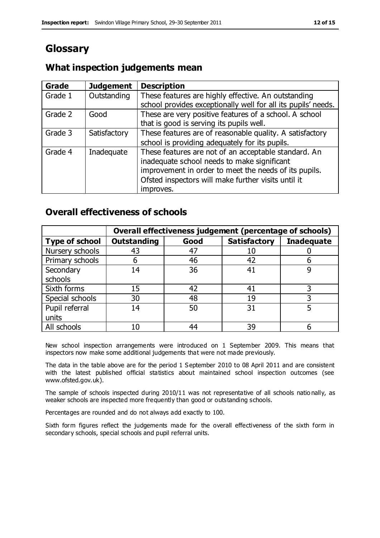# **Glossary**

## **What inspection judgements mean**

| <b>Grade</b> | <b>Judgement</b> | <b>Description</b>                                            |
|--------------|------------------|---------------------------------------------------------------|
| Grade 1      | Outstanding      | These features are highly effective. An outstanding           |
|              |                  | school provides exceptionally well for all its pupils' needs. |
| Grade 2      | Good             | These are very positive features of a school. A school        |
|              |                  | that is good is serving its pupils well.                      |
| Grade 3      | Satisfactory     | These features are of reasonable quality. A satisfactory      |
|              |                  | school is providing adequately for its pupils.                |
| Grade 4      | Inadequate       | These features are not of an acceptable standard. An          |
|              |                  | inadequate school needs to make significant                   |
|              |                  | improvement in order to meet the needs of its pupils.         |
|              |                  | Ofsted inspectors will make further visits until it           |
|              |                  | improves.                                                     |

## **Overall effectiveness of schools**

|                       |                    |      | Overall effectiveness judgement (percentage of schools) |                   |
|-----------------------|--------------------|------|---------------------------------------------------------|-------------------|
| <b>Type of school</b> | <b>Outstanding</b> | Good | <b>Satisfactory</b>                                     | <b>Inadequate</b> |
| Nursery schools       | 43                 | 47   | 10                                                      |                   |
| Primary schools       | 6                  | 46   | 42                                                      |                   |
| Secondary             | 14                 | 36   | 41                                                      |                   |
| schools               |                    |      |                                                         |                   |
| Sixth forms           | 15                 | 42   | 41                                                      | 3                 |
| Special schools       | 30                 | 48   | 19                                                      |                   |
| Pupil referral        | 14                 | 50   | 31                                                      |                   |
| units                 |                    |      |                                                         |                   |
| All schools           | 10                 | 44   | 39                                                      |                   |

New school inspection arrangements were introduced on 1 September 2009. This means that inspectors now make some additional judgements that were not made previously.

The data in the table above are for the period 1 September 2010 to 08 April 2011 and are consistent with the latest published official statistics about maintained school inspection outcomes (see www.ofsted.gov.uk).

The sample of schools inspected during 2010/11 was not representative of all schools natio nally, as weaker schools are inspected more frequently than good or outstanding schools.

Percentages are rounded and do not always add exactly to 100.

Sixth form figures reflect the judgements made for the overall effectiveness of the sixth form in secondary schools, special schools and pupil referral units.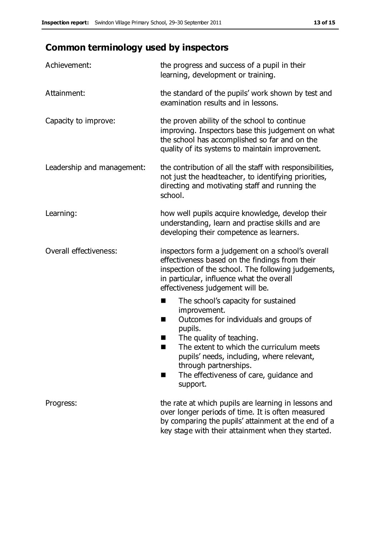# **Common terminology used by inspectors**

| Achievement:                  | the progress and success of a pupil in their<br>learning, development or training.                                                                                                                                                                                                                                           |
|-------------------------------|------------------------------------------------------------------------------------------------------------------------------------------------------------------------------------------------------------------------------------------------------------------------------------------------------------------------------|
| Attainment:                   | the standard of the pupils' work shown by test and<br>examination results and in lessons.                                                                                                                                                                                                                                    |
| Capacity to improve:          | the proven ability of the school to continue<br>improving. Inspectors base this judgement on what<br>the school has accomplished so far and on the<br>quality of its systems to maintain improvement.                                                                                                                        |
| Leadership and management:    | the contribution of all the staff with responsibilities,<br>not just the headteacher, to identifying priorities,<br>directing and motivating staff and running the<br>school.                                                                                                                                                |
| Learning:                     | how well pupils acquire knowledge, develop their<br>understanding, learn and practise skills and are<br>developing their competence as learners.                                                                                                                                                                             |
| <b>Overall effectiveness:</b> | inspectors form a judgement on a school's overall<br>effectiveness based on the findings from their<br>inspection of the school. The following judgements,<br>in particular, influence what the overall<br>effectiveness judgement will be.                                                                                  |
|                               | The school's capacity for sustained<br>■<br>improvement.<br>Outcomes for individuals and groups of<br>H<br>pupils.<br>The quality of teaching.<br>The extent to which the curriculum meets<br>pupils' needs, including, where relevant,<br>through partnerships.<br>The effectiveness of care, guidance and<br>٠<br>support. |
| Progress:                     | the rate at which pupils are learning in lessons and<br>over longer periods of time. It is often measured<br>by comparing the pupils' attainment at the end of a<br>key stage with their attainment when they started.                                                                                                       |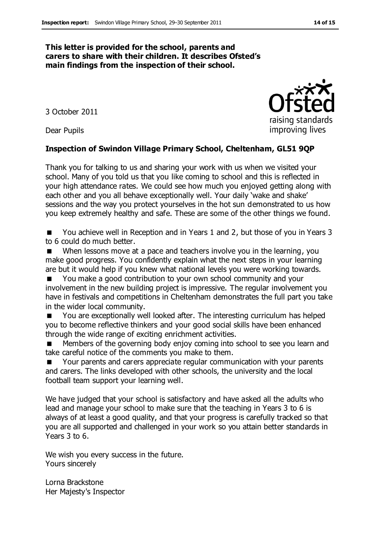#### **This letter is provided for the school, parents and carers to share with their children. It describes Ofsted's main findings from the inspection of their school.**

3 October 2011

Dear Pupils

#### **Inspection of Swindon Village Primary School, Cheltenham, GL51 9QP**

Thank you for talking to us and sharing your work with us when we visited your school. Many of you told us that you like coming to school and this is reflected in your high attendance rates. We could see how much you enjoyed getting along with each other and you all behave exceptionally well. Your daily 'wake and shake' sessions and the way you protect yourselves in the hot sun demonstrated to us how you keep extremely healthy and safe. These are some of the other things we found.

■ You achieve well in Reception and in Years 1 and 2, but those of you in Years 3 to 6 could do much better.

When lessons move at a pace and teachers involve you in the learning, you make good progress. You confidently explain what the next steps in your learning are but it would help if you knew what national levels you were working towards.

 You make a good contribution to your own school community and your involvement in the new building project is impressive. The regular involvement you have in festivals and competitions in Cheltenham demonstrates the full part you take in the wider local community.

 You are exceptionally well looked after. The interesting curriculum has helped you to become reflective thinkers and your good social skills have been enhanced through the wide range of exciting enrichment activities.

 Members of the governing body enjoy coming into school to see you learn and take careful notice of the comments you make to them.

 Your parents and carers appreciate regular communication with your parents and carers. The links developed with other schools, the university and the local football team support your learning well.

We have judged that your school is satisfactory and have asked all the adults who lead and manage your school to make sure that the teaching in Years 3 to 6 is always of at least a good quality, and that your progress is carefully tracked so that you are all supported and challenged in your work so you attain better standards in Years 3 to 6.

We wish you every success in the future. Yours sincerely

Lorna Brackstone Her Majesty's Inspector